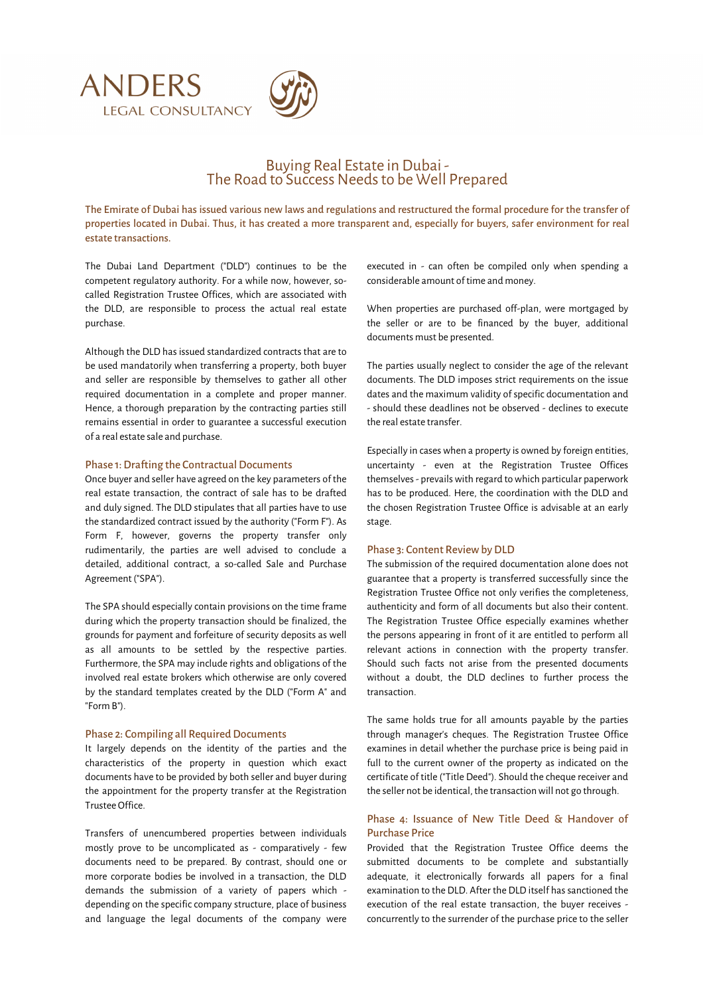

# Buying Real Estate in Dubai - The Road to Success Needs to be Well Prepared

The Emirate of Dubai has issued various new laws and regulations and restructured the formal procedure for the transfer of properties located in Dubai. Thus, it has created a more transparent and, especially for buyers, safer environment for real estate transactions.

The Dubai Land Department ("DLD") continues to be the competent regulatory authority. For a while now, however, socalled Registration Trustee Offices, which are associated with the DLD, are responsible to process the actual real estate purchase.

Although the DLD has issued standardized contracts that are to be used mandatorily when transferring a property, both buyer and seller are responsible by themselves to gather all other required documentation in a complete and proper manner. Hence, a thorough preparation by the contracting parties still remains essential in order to guarantee a successful execution of a real estate sale and purchase.

#### Phase 1: Drafting the Contractual Documents

Once buyer and seller have agreed on the key parameters of the real estate transaction, the contract of sale has to be drafted and duly signed. The DLD stipulates that all parties have to use the standardized contract issued by the authority ("Form F"). As Form F, however, governs the property transfer only rudimentarily, the parties are well advised to conclude a detailed, additional contract, a so-called Sale and Purchase Agreement ("SPA").

The SPA should especially contain provisions on the time frame during which the property transaction should be finalized, the grounds for payment and forfeiture of security deposits as well as all amounts to be settled by the respective parties. Furthermore, the SPA may include rights and obligations of the involved real estate brokers which otherwise are only covered by the standard templates created by the DLD ("Form A" and "Form B").

#### Phase 2: Compiling all Required Documents

It largely depends on the identity of the parties and the characteristics of the property in question which exact documents have to be provided by both seller and buyer during the appointment for the property transfer at the Registration Trustee Office.

Transfers of unencumbered properties between individuals mostly prove to be uncomplicated as - comparatively - few documents need to be prepared. By contrast, should one or more corporate bodies be involved in a transaction, the DLD demands the submission of a variety of papers which depending on the specific company structure, place of business and language the legal documents of the company were

executed in - can often be compiled only when spending a considerable amount of time and money.

When properties are purchased off-plan, were mortgaged by the seller or are to be financed by the buyer, additional documents must be presented.

The parties usually neglect to consider the age of the relevant documents. The DLD imposes strict requirements on the issue dates and the maximum validity of specific documentation and - should these deadlines not be observed - declines to execute the real estate transfer.

Especially in cases when a property is owned by foreign entities, uncertainty - even at the Registration Trustee Offices themselves - prevails with regard to which particular paperwork has to be produced. Here, the coordination with the DLD and the chosen Registration Trustee Office is advisable at an early stage.

#### Phase 3: Content Review by DLD

The submission of the required documentation alone does not guarantee that a property is transferred successfully since the Registration Trustee Office not only verifies the completeness, authenticity and form of all documents but also their content. The Registration Trustee Office especially examines whether the persons appearing in front of it are entitled to perform all relevant actions in connection with the property transfer. Should such facts not arise from the presented documents without a doubt, the DLD declines to further process the transaction.

The same holds true for all amounts payable by the parties through manager's cheques. The Registration Trustee Office examines in detail whether the purchase price is being paid in full to the current owner of the property as indicated on the certificate of title ("Title Deed"). Should the cheque receiver and the seller not be identical, the transaction will not go through.

## Phase 4: Issuance of New Title Deed & Handover of Purchase Price

Provided that the Registration Trustee Office deems the submitted documents to be complete and substantially adequate, it electronically forwards all papers for a final examination to the DLD. After the DLD itself has sanctioned the execution of the real estate transaction, the buyer receives concurrently to the surrender of the purchase price to the seller